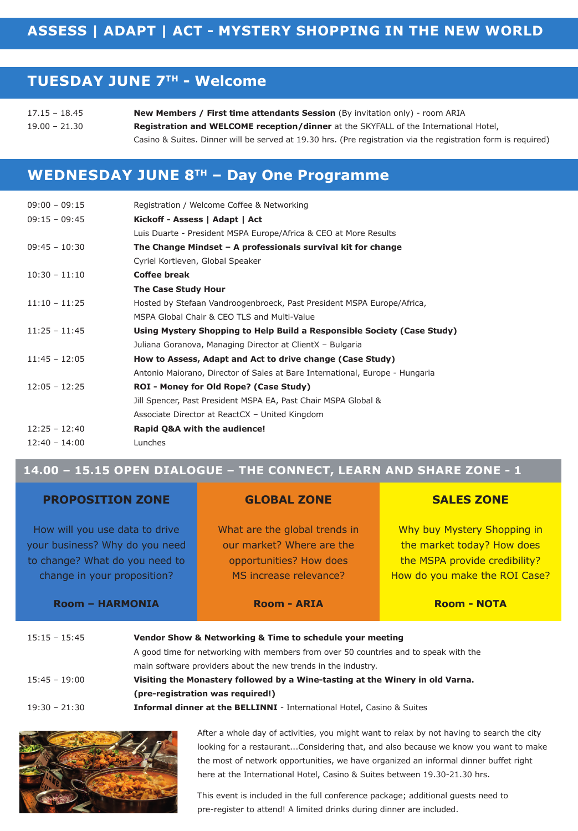### **TUESDAY JUNE 7TH - Welcome**

| $17.15 - 18.45$ | New Members / First time attendants Session (By invitation only) - room ARIA                                  |  |  |
|-----------------|---------------------------------------------------------------------------------------------------------------|--|--|
| $19.00 - 21.30$ | <b>Registration and WELCOME reception/dinner</b> at the SKYFALL of the International Hotel.                   |  |  |
|                 | Casino & Suites. Dinner will be served at 19.30 hrs. (Pre registration via the registration form is reguired) |  |  |

# **WEDNESDAY JUNE 8TH – Day One Programme**

| $09:00 - 09:15$ | Registration / Welcome Coffee & Networking                                   |
|-----------------|------------------------------------------------------------------------------|
| $09:15 - 09:45$ | Kickoff - Assess   Adapt   Act                                               |
|                 | Luis Duarte - President MSPA Europe/Africa & CEO at More Results             |
| $09:45 - 10:30$ | The Change Mindset – A professionals survival kit for change                 |
|                 | Cyriel Kortleven, Global Speaker                                             |
| $10:30 - 11:10$ | <b>Coffee break</b>                                                          |
|                 | The Case Study Hour                                                          |
| $11:10 - 11:25$ | Hosted by Stefaan Vandroogenbroeck, Past President MSPA Europe/Africa,       |
|                 | MSPA Global Chair & CEO TLS and Multi-Value                                  |
| $11:25 - 11:45$ | Using Mystery Shopping to Help Build a Responsible Society (Case Study)      |
|                 | Juliana Goranova, Managing Director at ClientX - Bulgaria                    |
| $11:45 - 12:05$ | How to Assess, Adapt and Act to drive change (Case Study)                    |
|                 | Antonio Maiorano, Director of Sales at Bare International, Europe - Hungaria |
| $12:05 - 12:25$ | ROI - Money for Old Rope? (Case Study)                                       |
|                 | Jill Spencer, Past President MSPA EA, Past Chair MSPA Global &               |
|                 | Associate Director at ReactCX - United Kingdom                               |
| $12:25 - 12:40$ | Rapid Q&A with the audience!                                                 |
| $12:40 - 14:00$ | Lunches                                                                      |
|                 |                                                                              |

### **14.00 – 15.15 OPEN DIALOGUE – THE CONNECT, LEARN AND SHARE ZONE - 1**

| <b>PROPOSITION ZONE</b>                                                                                                           | <b>GLOBAL ZONE</b>                                                                                                                                                                                                                                                                                 | <b>SALES ZONE</b>                                                                                                           |  |  |  |
|-----------------------------------------------------------------------------------------------------------------------------------|----------------------------------------------------------------------------------------------------------------------------------------------------------------------------------------------------------------------------------------------------------------------------------------------------|-----------------------------------------------------------------------------------------------------------------------------|--|--|--|
| How will you use data to drive<br>your business? Why do you need<br>to change? What do you need to<br>change in your proposition? | What are the global trends in<br>our market? Where are the<br>opportunities? How does<br>MS increase relevance?                                                                                                                                                                                    | Why buy Mystery Shopping in<br>the market today? How does<br>the MSPA provide credibility?<br>How do you make the ROI Case? |  |  |  |
| <b>Room - HARMONIA</b>                                                                                                            | <b>Room - ARIA</b>                                                                                                                                                                                                                                                                                 | <b>Room - NOTA</b>                                                                                                          |  |  |  |
| $15:15 - 15:45$<br>$15:45 - 19:00$                                                                                                | Vendor Show & Networking & Time to schedule your meeting<br>A good time for networking with members from over 50 countries and to speak with the<br>main software providers about the new trends in the industry.<br>Visiting the Monastery followed by a Wine-tasting at the Winery in old Varna. |                                                                                                                             |  |  |  |
|                                                                                                                                   | (pre-registration was required!)                                                                                                                                                                                                                                                                   |                                                                                                                             |  |  |  |
| $19:30 - 21:30$                                                                                                                   | Informal dinner at the BELLINNI - International Hotel, Casino & Suites                                                                                                                                                                                                                             |                                                                                                                             |  |  |  |



After a whole day of activities, you might want to relax by not having to search the city looking for a restaurant...Considering that, and also because we know you want to make the most of network opportunities, we have organized an informal dinner buffet right here at the International Hotel, Casino & Suites between 19.30-21.30 hrs.

This event is included in the full conference package; additional guests need to pre-register to attend! A limited drinks during dinner are included.